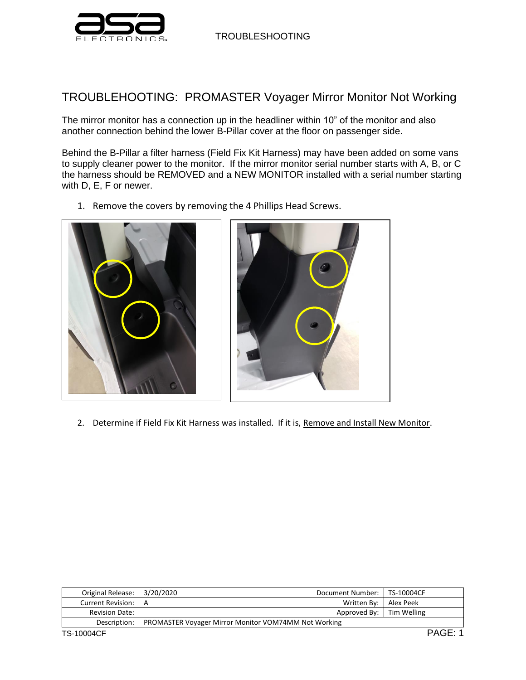

TROUBLESHOOTING

## TROUBLEHOOTING: PROMASTER Voyager Mirror Monitor Not Working

The mirror monitor has a connection up in the headliner within 10" of the monitor and also another connection behind the lower B-Pillar cover at the floor on passenger side.

Behind the B-Pillar a filter harness (Field Fix Kit Harness) may have been added on some vans to supply cleaner power to the monitor. If the mirror monitor serial number starts with A, B, or C the harness should be REMOVED and a NEW MONITOR installed with a serial number starting with D, E, F or newer.

1. Remove the covers by removing the 4 Phillips Head Screws.





2. Determine if Field Fix Kit Harness was installed. If it is, Remove and Install New Monitor.

| Original Release: 3/20/2020 |                                                      | Document Number:   TS-10004CF |           |
|-----------------------------|------------------------------------------------------|-------------------------------|-----------|
| Current Revision:   A       |                                                      | Written By:                   | Alex Peek |
| <b>Revision Date:</b>       |                                                      | Approved By:   Tim Welling    |           |
| Description:                | PROMASTER Voyager Mirror Monitor VOM74MM Not Working |                               |           |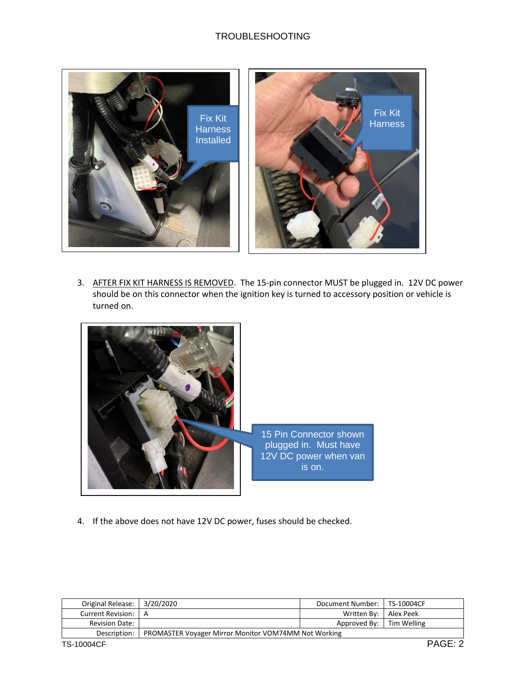## TROUBLESHOOTING



3. AFTER FIX KIT HARNESS IS REMOVED. The 15-pin connector MUST be plugged in. 12V DC power should be on this connector when the ignition key is turned to accessory position or vehicle is turned on.



4. If the above does not have 12V DC power, fuses should be checked.

| Original Release:     | 3/20/2020                                            | Document Number:   TS-10004CF |         |
|-----------------------|------------------------------------------------------|-------------------------------|---------|
| Current Revision: I   | A                                                    | Written By:   Alex Peek       |         |
| <b>Revision Date:</b> |                                                      | Approved By: Tim Welling      |         |
| Description:          | PROMASTER Voyager Mirror Monitor VOM74MM Not Working |                               |         |
| TS-10004CF            |                                                      |                               | PAGE: 2 |